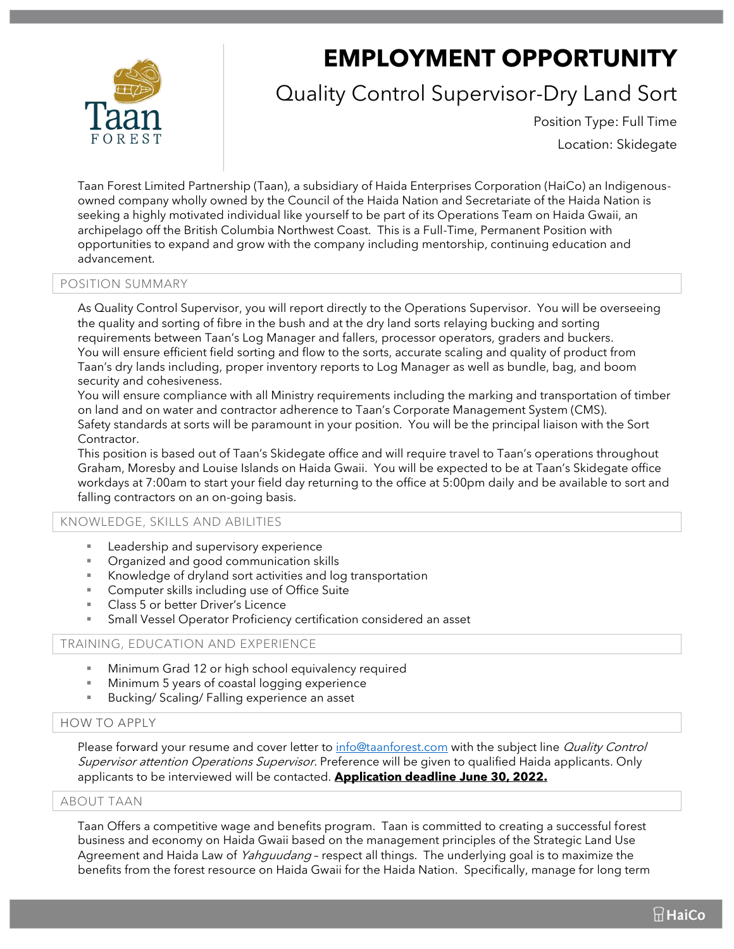# **EMPLOYMENT OPPORTUNITY**

## Quality Control Supervisor-Dry Land Sort

Position Type: Full Time

Location: Skidegate

Taan Forest Limited Partnership (Taan), a subsidiary of Haida Enterprises Corporation (HaiCo) an Indigenousowned company wholly owned by the Council of the Haida Nation and Secretariate of the Haida Nation is seeking a highly motivated individual like yourself to be part of its Operations Team on Haida Gwaii, an archipelago off the British Columbia Northwest Coast. This is a Full-Time, Permanent Position with opportunities to expand and grow with the company including mentorship, continuing education and advancement.

#### POSITION SUMMARY

As Quality Control Supervisor, you will report directly to the Operations Supervisor. You will be overseeing the quality and sorting of fibre in the bush and at the dry land sorts relaying bucking and sorting requirements between Taan's Log Manager and fallers, processor operators, graders and buckers. You will ensure efficient field sorting and flow to the sorts, accurate scaling and quality of product from Taan's dry lands including, proper inventory reports to Log Manager as well as bundle, bag, and boom security and cohesiveness.

You will ensure compliance with all Ministry requirements including the marking and transportation of timber on land and on water and contractor adherence to Taan's Corporate Management System (CMS). Safety standards at sorts will be paramount in your position. You will be the principal liaison with the Sort Contractor.

This position is based out of Taan's Skidegate office and will require travel to Taan's operations throughout Graham, Moresby and Louise Islands on Haida Gwaii. You will be expected to be at Taan's Skidegate office workdays at 7:00am to start your field day returning to the office at 5:00pm daily and be available to sort and falling contractors on an on-going basis.

#### KNOWLEDGE, SKILLS AND ABILITIES

- Leadership and supervisory experience
- Organized and good communication skills
- Knowledge of dryland sort activities and log transportation
- Computer skills including use of Office Suite
- Class 5 or better Driver's Licence
- Small Vessel Operator Proficiency certification considered an asset

#### TRAINING, EDUCATION AND EXPERIENCE

- Minimum Grad 12 or high school equivalency required
- Minimum 5 years of coastal logging experience
- Bucking/ Scaling/ Falling experience an asset

### HOW TO APPLY

Please forward your resume and cover letter to [info@taanforest.com](mailto:info@taanforest.com) with the subject line Quality Control Supervisor attention Operations Supervisor. Preference will be given to qualified Haida applicants. Only applicants to be interviewed will be contacted. **Application deadline June 30, 2022.**

#### ABOUT TAAN

Taan Offers a competitive wage and benefits program. Taan is committed to creating a successful forest business and economy on Haida Gwaii based on the management principles of the Strategic Land Use Agreement and Haida Law of *Yahguudang* - respect all things. The underlying goal is to maximize the benefits from the forest resource on Haida Gwaii for the Haida Nation. Specifically, manage for long term